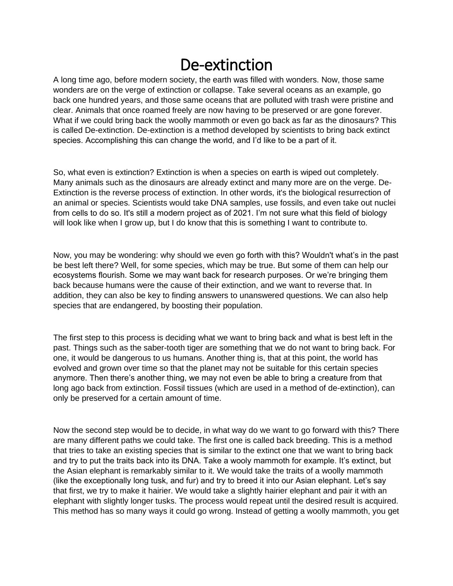## De-extinction

A long time ago, before modern society, the earth was filled with wonders. Now, those same wonders are on the verge of extinction or collapse. Take several oceans as an example, go back one hundred years, and those same oceans that are polluted with trash were pristine and clear. Animals that once roamed freely are now having to be preserved or are gone forever. What if we could bring back the woolly mammoth or even go back as far as the dinosaurs? This is called De-extinction. De-extinction is a method developed by scientists to bring back extinct species. Accomplishing this can change the world, and I'd like to be a part of it.

So, what even is extinction? Extinction is when a species on earth is wiped out completely. Many animals such as the dinosaurs are already extinct and many more are on the verge. De-Extinction is the reverse process of extinction. In other words, it's the biological resurrection of an animal or species. Scientists would take DNA samples, use fossils, and even take out nuclei from cells to do so. It's still a modern project as of 2021. I'm not sure what this field of biology will look like when I grow up, but I do know that this is something I want to contribute to.

Now, you may be wondering: why should we even go forth with this? Wouldn't what's in the past be best left there? Well, for some species, which may be true. But some of them can help our ecosystems flourish. Some we may want back for research purposes. Or we're bringing them back because humans were the cause of their extinction, and we want to reverse that. In addition, they can also be key to finding answers to unanswered questions. We can also help species that are endangered, by boosting their population.

The first step to this process is deciding what we want to bring back and what is best left in the past. Things such as the saber-tooth tiger are something that we do not want to bring back. For one, it would be dangerous to us humans. Another thing is, that at this point, the world has evolved and grown over time so that the planet may not be suitable for this certain species anymore. Then there's another thing, we may not even be able to bring a creature from that long ago back from extinction. Fossil tissues (which are used in a method of de-extinction), can only be preserved for a certain amount of time.

Now the second step would be to decide, in what way do we want to go forward with this? There are many different paths we could take. The first one is called back breeding. This is a method that tries to take an existing species that is similar to the extinct one that we want to bring back and try to put the traits back into its DNA. Take a wooly mammoth for example. It's extinct, but the Asian elephant is remarkably similar to it. We would take the traits of a woolly mammoth (like the exceptionally long tusk, and fur) and try to breed it into our Asian elephant. Let's say that first, we try to make it hairier. We would take a slightly hairier elephant and pair it with an elephant with slightly longer tusks. The process would repeat until the desired result is acquired. This method has so many ways it could go wrong. Instead of getting a woolly mammoth, you get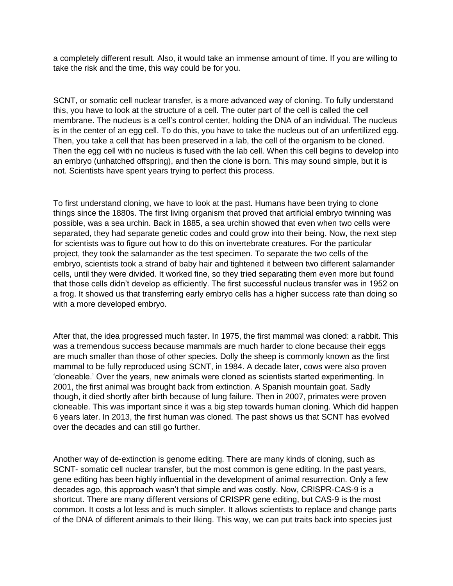a completely different result. Also, it would take an immense amount of time. If you are willing to take the risk and the time, this way could be for you.

SCNT, or somatic cell nuclear transfer, is a more advanced way of cloning. To fully understand this, you have to look at the structure of a cell. The outer part of the cell is called the cell membrane. The nucleus is a cell's control center, holding the DNA of an individual. The nucleus is in the center of an egg cell. To do this, you have to take the nucleus out of an unfertilized egg. Then, you take a cell that has been preserved in a lab, the cell of the organism to be cloned. Then the egg cell with no nucleus is fused with the lab cell. When this cell begins to develop into an embryo (unhatched offspring), and then the clone is born. This may sound simple, but it is not. Scientists have spent years trying to perfect this process.

To first understand cloning, we have to look at the past. Humans have been trying to clone things since the 1880s. The first living organism that proved that artificial embryo twinning was possible, was a sea urchin. Back in 1885, a sea urchin showed that even when two cells were separated, they had separate genetic codes and could grow into their being. Now, the next step for scientists was to figure out how to do this on invertebrate creatures. For the particular project, they took the salamander as the test specimen. To separate the two cells of the embryo, scientists took a strand of baby hair and tightened it between two different salamander cells, until they were divided. It worked fine, so they tried separating them even more but found that those cells didn't develop as efficiently. The first successful nucleus transfer was in 1952 on a frog. It showed us that transferring early embryo cells has a higher success rate than doing so with a more developed embryo.

After that, the idea progressed much faster. In 1975, the first mammal was cloned: a rabbit. This was a tremendous success because mammals are much harder to clone because their eggs are much smaller than those of other species. Dolly the sheep is commonly known as the first mammal to be fully reproduced using SCNT, in 1984. A decade later, cows were also proven 'cloneable.' Over the years, new animals were cloned as scientists started experimenting. In 2001, the first animal was brought back from extinction. A Spanish mountain goat. Sadly though, it died shortly after birth because of lung failure. Then in 2007, primates were proven cloneable. This was important since it was a big step towards human cloning. Which did happen 6 years later. In 2013, the first human was cloned. The past shows us that SCNT has evolved over the decades and can still go further.

Another way of de-extinction is genome editing. There are many kinds of cloning, such as SCNT- somatic cell nuclear transfer, but the most common is gene editing. In the past years, gene editing has been highly influential in the development of animal resurrection. Only a few decades ago, this approach wasn't that simple and was costly. Now, CRISPR-CAS-9 is a shortcut. There are many different versions of CRISPR gene editing, but CAS-9 is the most common. It costs a lot less and is much simpler. It allows scientists to replace and change parts of the DNA of different animals to their liking. This way, we can put traits back into species just